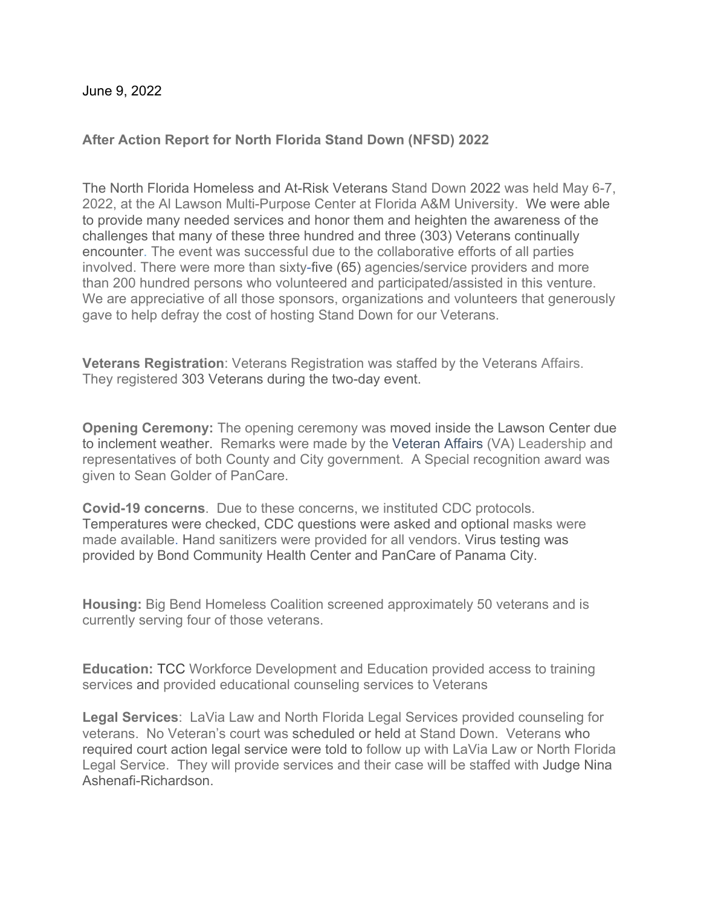June 9, 2022

## **After Action Report for North Florida Stand Down (NFSD) 2022**

The North Florida Homeless and At-Risk Veterans Stand Down 2022 was held May 6-7, 2022, at the Al Lawson Multi-Purpose Center at Florida A&M University. We were able to provide many needed services and honor them and heighten the awareness of the challenges that many of these three hundred and three (303) Veterans continually encounter. The event was successful due to the collaborative efforts of all parties involved. There were more than sixty-five (65) agencies/service providers and more than 200 hundred persons who volunteered and participated/assisted in this venture. We are appreciative of all those sponsors, organizations and volunteers that generously gave to help defray the cost of hosting Stand Down for our Veterans.

**Veterans Registration**: Veterans Registration was staffed by the Veterans Affairs. They registered 303 Veterans during the two-day event.

**Opening Ceremony:** The opening ceremony was moved inside the Lawson Center due to inclement weather. Remarks were made by the Veteran Affairs (VA) Leadership and representatives of both County and City government. A Special recognition award was given to Sean Golder of PanCare.

**Covid-19 concerns**. Due to these concerns, we instituted CDC protocols. Temperatures were checked, CDC questions were asked and optional masks were made available. Hand sanitizers were provided for all vendors. Virus testing was provided by Bond Community Health Center and PanCare of Panama City.

**Housing:** Big Bend Homeless Coalition screened approximately 50 veterans and is currently serving four of those veterans.

**Education:** TCC Workforce Development and Education provided access to training services and provided educational counseling services to Veterans

**Legal Services**: LaVia Law and North Florida Legal Services provided counseling for veterans. No Veteran's court was scheduled or held at Stand Down. Veterans who required court action legal service were told to follow up with LaVia Law or North Florida Legal Service. They will provide services and their case will be staffed with Judge Nina Ashenafi-Richardson.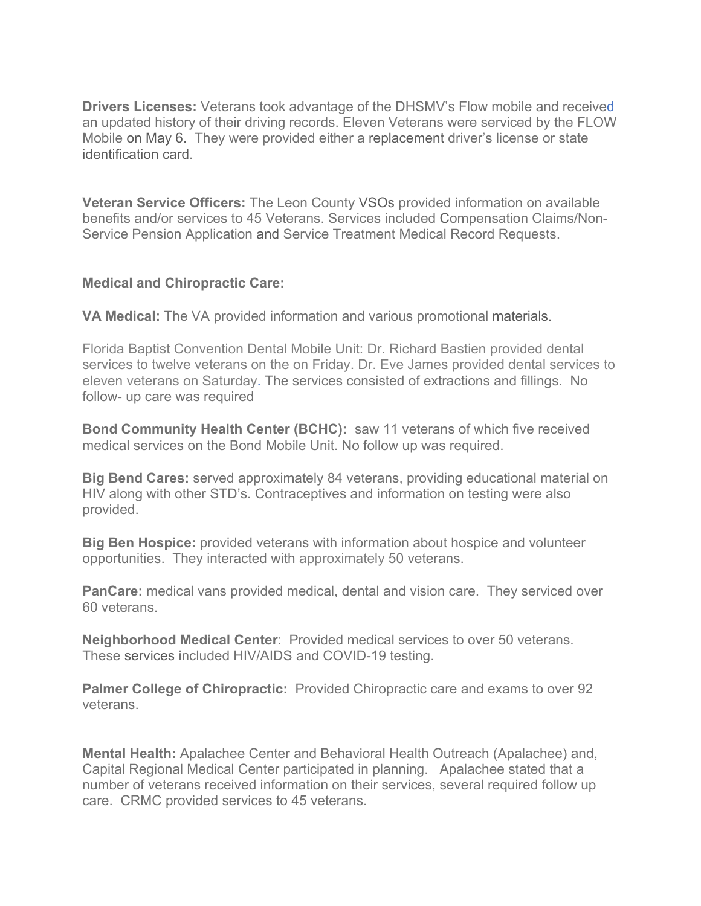**Drivers Licenses:** Veterans took advantage of the DHSMV's Flow mobile and received an updated history of their driving records. Eleven Veterans were serviced by the FLOW Mobile on May 6. They were provided either a replacement driver's license or state identification card.

**Veteran Service Officers:** The Leon County VSOs provided information on available benefits and/or services to 45 Veterans. Services included Compensation Claims/Non-Service Pension Application and Service Treatment Medical Record Requests.

## **Medical and Chiropractic Care:**

**VA Medical:** The VA provided information and various promotional materials.

Florida Baptist Convention Dental Mobile Unit: Dr. Richard Bastien provided dental services to twelve veterans on the on Friday. Dr. Eve James provided dental services to eleven veterans on Saturday. The services consisted of extractions and fillings. No follow- up care was required

**Bond Community Health Center (BCHC):** saw 11 veterans of which five received medical services on the Bond Mobile Unit. No follow up was required.

**Big Bend Cares:** served approximately 84 veterans, providing educational material on HIV along with other STD's. Contraceptives and information on testing were also provided.

**Big Ben Hospice:** provided veterans with information about hospice and volunteer opportunities. They interacted with approximately 50 veterans.

**PanCare:** medical vans provided medical, dental and vision care. They serviced over 60 veterans.

**Neighborhood Medical Center**: Provided medical services to over 50 veterans. These services included HIV/AIDS and COVID-19 testing.

**Palmer College of Chiropractic:** Provided Chiropractic care and exams to over 92 veterans.

**Mental Health:** Apalachee Center and Behavioral Health Outreach (Apalachee) and, Capital Regional Medical Center participated in planning. Apalachee stated that a number of veterans received information on their services, several required follow up care. CRMC provided services to 45 veterans.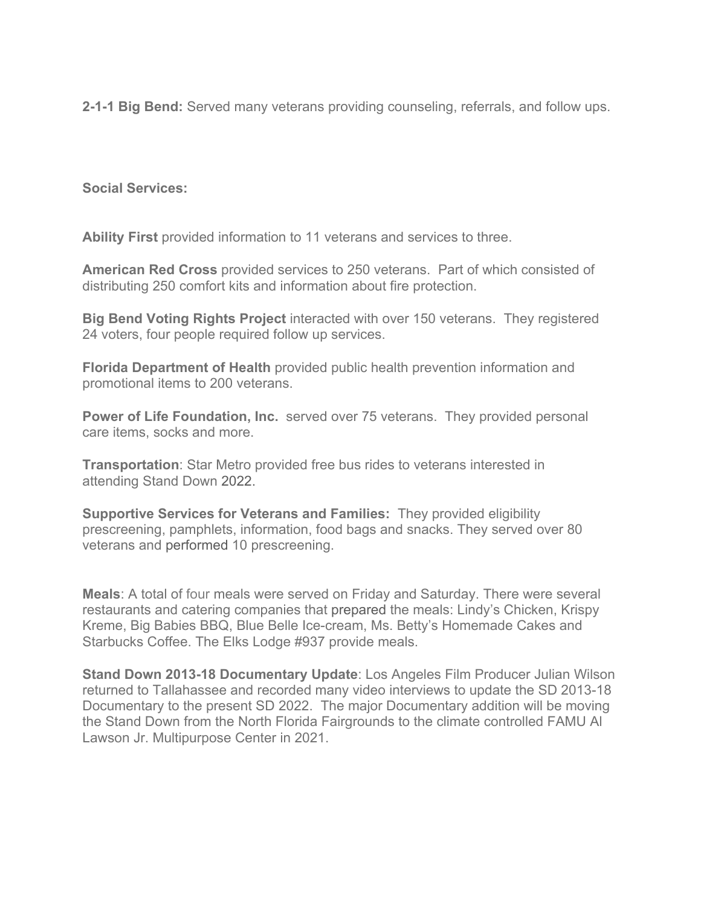**2-1-1 Big Bend:** Served many veterans providing counseling, referrals, and follow ups.

**Social Services:**

**Ability First** provided information to 11 veterans and services to three.

**American Red Cross** provided services to 250 veterans. Part of which consisted of distributing 250 comfort kits and information about fire protection.

**Big Bend Voting Rights Project** interacted with over 150 veterans. They registered 24 voters, four people required follow up services.

**Florida Department of Health** provided public health prevention information and promotional items to 200 veterans.

**Power of Life Foundation, Inc.** served over 75 veterans. They provided personal care items, socks and more.

**Transportation**: Star Metro provided free bus rides to veterans interested in attending Stand Down 2022.

**Supportive Services for Veterans and Families:** They provided eligibility prescreening, pamphlets, information, food bags and snacks. They served over 80 veterans and performed 10 prescreening.

**Meals**: A total of four meals were served on Friday and Saturday. There were several restaurants and catering companies that prepared the meals: Lindy's Chicken, Krispy Kreme, Big Babies BBQ, Blue Belle Ice-cream, Ms. Betty's Homemade Cakes and Starbucks Coffee. The Elks Lodge #937 provide meals.

**Stand Down 2013-18 Documentary Update**: Los Angeles Film Producer Julian Wilson returned to Tallahassee and recorded many video interviews to update the SD 2013-18 Documentary to the present SD 2022. The major Documentary addition will be moving the Stand Down from the North Florida Fairgrounds to the climate controlled FAMU Al Lawson Jr. Multipurpose Center in 2021.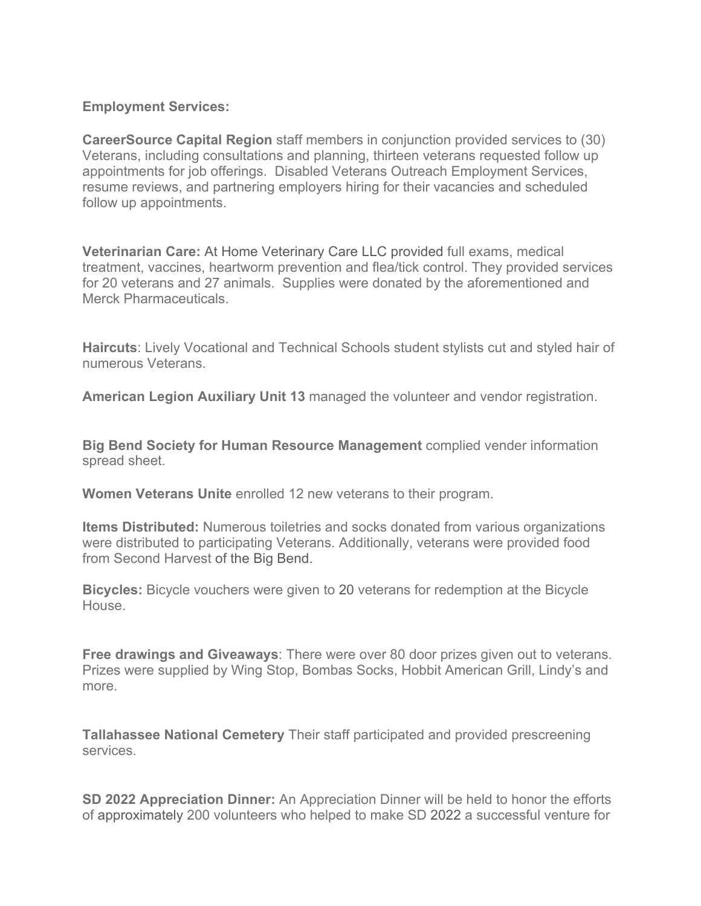## **Employment Services:**

**CareerSource Capital Region** staff members in conjunction provided services to (30) Veterans, including consultations and planning, thirteen veterans requested follow up appointments for job offerings. Disabled Veterans Outreach Employment Services, resume reviews, and partnering employers hiring for their vacancies and scheduled follow up appointments.

**Veterinarian Care:** At Home Veterinary Care LLC provided full exams, medical treatment, vaccines, heartworm prevention and flea/tick control. They provided services for 20 veterans and 27 animals. Supplies were donated by the aforementioned and Merck Pharmaceuticals.

**Haircuts**: Lively Vocational and Technical Schools student stylists cut and styled hair of numerous Veterans.

**American Legion Auxiliary Unit 13** managed the volunteer and vendor registration.

**Big Bend Society for Human Resource Management** complied vender information spread sheet.

**Women Veterans Unite** enrolled 12 new veterans to their program.

**Items Distributed:** Numerous toiletries and socks donated from various organizations were distributed to participating Veterans. Additionally, veterans were provided food from Second Harvest of the Big Bend.

**Bicycles:** Bicycle vouchers were given to 20 veterans for redemption at the Bicycle House.

**Free drawings and Giveaways**: There were over 80 door prizes given out to veterans. Prizes were supplied by Wing Stop, Bombas Socks, Hobbit American Grill, Lindy's and more.

**Tallahassee National Cemetery** Their staff participated and provided prescreening services.

**SD 2022 Appreciation Dinner:** An Appreciation Dinner will be held to honor the efforts of approximately 200 volunteers who helped to make SD 2022 a successful venture for